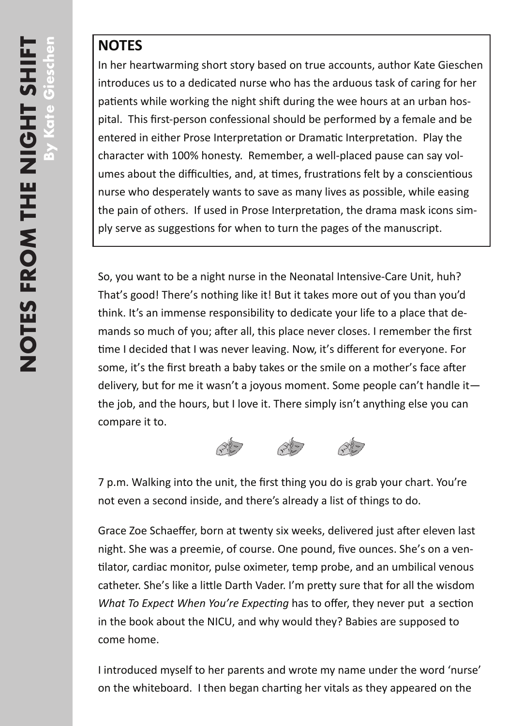## **NOTES**

In her heartwarming short story based on true accounts, author Kate Gieschen introduces us to a dedicated nurse who has the arduous task of caring for her patients while working the night shift during the wee hours at an urban hospital. This first-person confessional should be performed by a female and be entered in either Prose Interpretation or Dramatic Interpretation. Play the character with 100% honesty. Remember, a well-placed pause can say volumes about the difficulties, and, at times, frustrations felt by a conscientious nurse who desperately wants to save as many lives as possible, while easing the pain of others. If used in Prose Interpretation, the drama mask icons simply serve as suggestions for when to turn the pages of the manuscript.

So, you want to be a night nurse in the Neonatal Intensive-Care Unit, huh? That's good! There's nothing like it! But it takes more out of you than you'd think. It's an immense responsibility to dedicate your life to a place that demands so much of you; after all, this place never closes. I remember the first time I decided that I was never leaving. Now, it's different for everyone. For some, it's the first breath a baby takes or the smile on a mother's face after delivery, but for me it wasn't a joyous moment. Some people can't handle it the job, and the hours, but I love it. There simply isn't anything else you can compare it to.



7 p.m. Walking into the unit, the first thing you do is grab your chart. You're not even a second inside, and there's already a list of things to do.

Grace Zoe Schaeffer, born at twenty six weeks, delivered just after eleven last night. She was a preemie, of course. One pound, five ounces. She's on a ventilator, cardiac monitor, pulse oximeter, temp probe, and an umbilical venous catheter. She's like a little Darth Vader. I'm pretty sure that for all the wisdom *What To Expect When You're Expecting* has to offer, they never put a section in the book about the NICU, and why would they? Babies are supposed to come home.

I introduced myself to her parents and wrote my name under the word 'nurse' on the whiteboard. I then began charting her vitals as they appeared on the